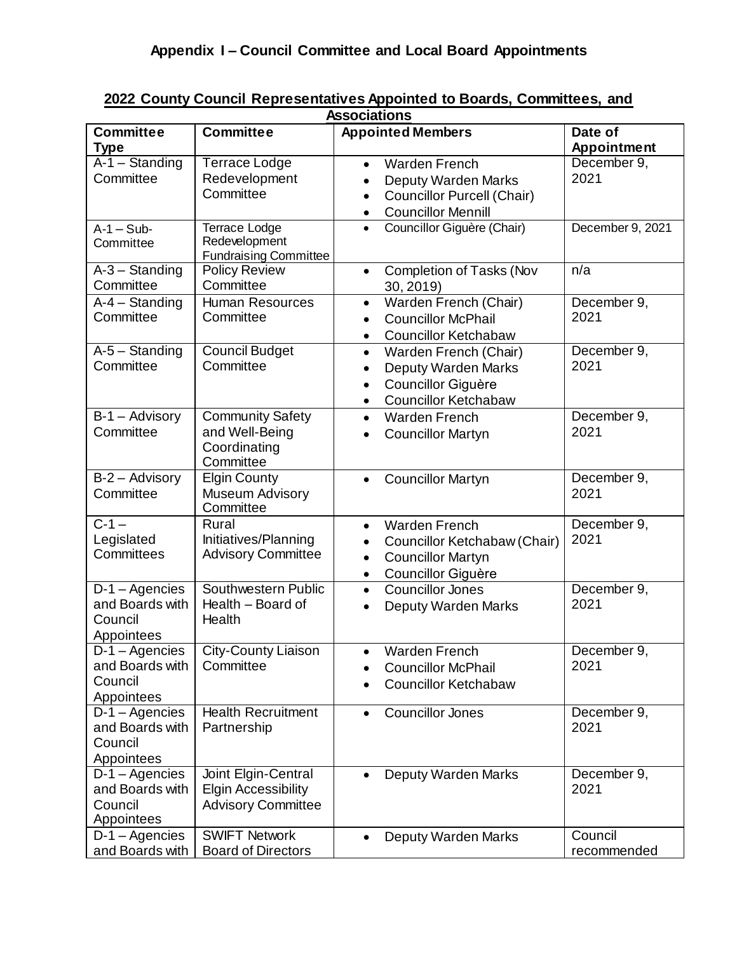| <b>Associations</b>                                                 |                                                                                |                                                                                                                                                                   |                        |  |  |
|---------------------------------------------------------------------|--------------------------------------------------------------------------------|-------------------------------------------------------------------------------------------------------------------------------------------------------------------|------------------------|--|--|
| <b>Committee</b><br><b>Type</b>                                     | <b>Committee</b>                                                               | <b>Appointed Members</b>                                                                                                                                          | Date of<br>Appointment |  |  |
| $A-1$ - Standing<br>Committee                                       | <b>Terrace Lodge</b><br>Redevelopment<br>Committee                             | <b>Warden French</b><br>$\bullet$<br>Deputy Warden Marks<br>$\bullet$<br><b>Councillor Purcell (Chair)</b><br>$\bullet$<br><b>Councillor Mennill</b><br>$\bullet$ | December 9,<br>2021    |  |  |
| $A-1-Sub-$<br>Committee                                             | Terrace Lodge<br>Redevelopment<br><b>Fundraising Committee</b>                 | Councillor Giguère (Chair)<br>$\bullet$                                                                                                                           | December 9, 2021       |  |  |
| $A-3$ - Standing<br>Committee                                       | <b>Policy Review</b><br>Committee                                              | Completion of Tasks (Nov<br>$\bullet$<br>30, 2019                                                                                                                 | n/a                    |  |  |
| $\overline{A-4}$ – Standing<br>Committee                            | <b>Human Resources</b><br>Committee                                            | Warden French (Chair)<br>$\bullet$<br><b>Councillor McPhail</b><br>$\bullet$<br><b>Councillor Ketchabaw</b><br>$\bullet$                                          | December 9,<br>2021    |  |  |
| $A-5 -$ Standing<br>Committee                                       | <b>Council Budget</b><br>Committee                                             | Warden French (Chair)<br>$\bullet$<br>Deputy Warden Marks<br>$\bullet$<br>Councillor Giguère<br>$\bullet$<br><b>Councillor Ketchabaw</b><br>$\bullet$             | December 9,<br>2021    |  |  |
| $B-1 -$ Advisory<br>Committee                                       | <b>Community Safety</b><br>and Well-Being<br>Coordinating<br>Committee         | <b>Warden French</b><br>$\bullet$<br><b>Councillor Martyn</b><br>$\bullet$                                                                                        | December 9,<br>2021    |  |  |
| B-2 - Advisory<br>Committee                                         | <b>Elgin County</b><br>Museum Advisory<br>Committee                            | <b>Councillor Martyn</b><br>$\bullet$                                                                                                                             | December 9,<br>2021    |  |  |
| $C - 1 -$<br>Legislated<br>Committees                               | Rural<br>Initiatives/Planning<br><b>Advisory Committee</b>                     | <b>Warden French</b><br>$\bullet$<br>Councillor Ketchabaw (Chair)<br>$\bullet$<br><b>Councillor Martyn</b><br>$\bullet$<br>Councillor Giguère<br>٠                | December 9,<br>2021    |  |  |
| D-1-Agencies<br>and Boards with<br>Council<br>Appointees            | Southwestern Public<br>Health - Board of<br>Health                             | <b>Councillor Jones</b><br>$\bullet$<br>Deputy Warden Marks<br>$\bullet$                                                                                          | December 9,<br>2021    |  |  |
| and Boards with<br>Council<br>Appointees                            | D-1 - Agencies   City-County Liaison<br>Committee                              | Warden French<br><b>Councillor McPhail</b><br><b>Councillor Ketchabaw</b><br>$\bullet$                                                                            | December 9,<br>2021    |  |  |
| D-1 - Agencies<br>and Boards with<br>Council<br>Appointees          | <b>Health Recruitment</b><br>Partnership                                       | <b>Councillor Jones</b><br>$\bullet$                                                                                                                              | December 9,<br>2021    |  |  |
| $D-1 - \text{Agencies}$<br>and Boards with<br>Council<br>Appointees | Joint Elgin-Central<br><b>Elgin Accessibility</b><br><b>Advisory Committee</b> | Deputy Warden Marks                                                                                                                                               | December 9,<br>2021    |  |  |
| $D-1 - \text{Agencies}$<br>and Boards with                          | <b>SWIFT Network</b><br><b>Board of Directors</b>                              | Deputy Warden Marks<br>$\bullet$                                                                                                                                  | Council<br>recommended |  |  |

## **2022 County Council Representatives Appointed to Boards, Committees, and**